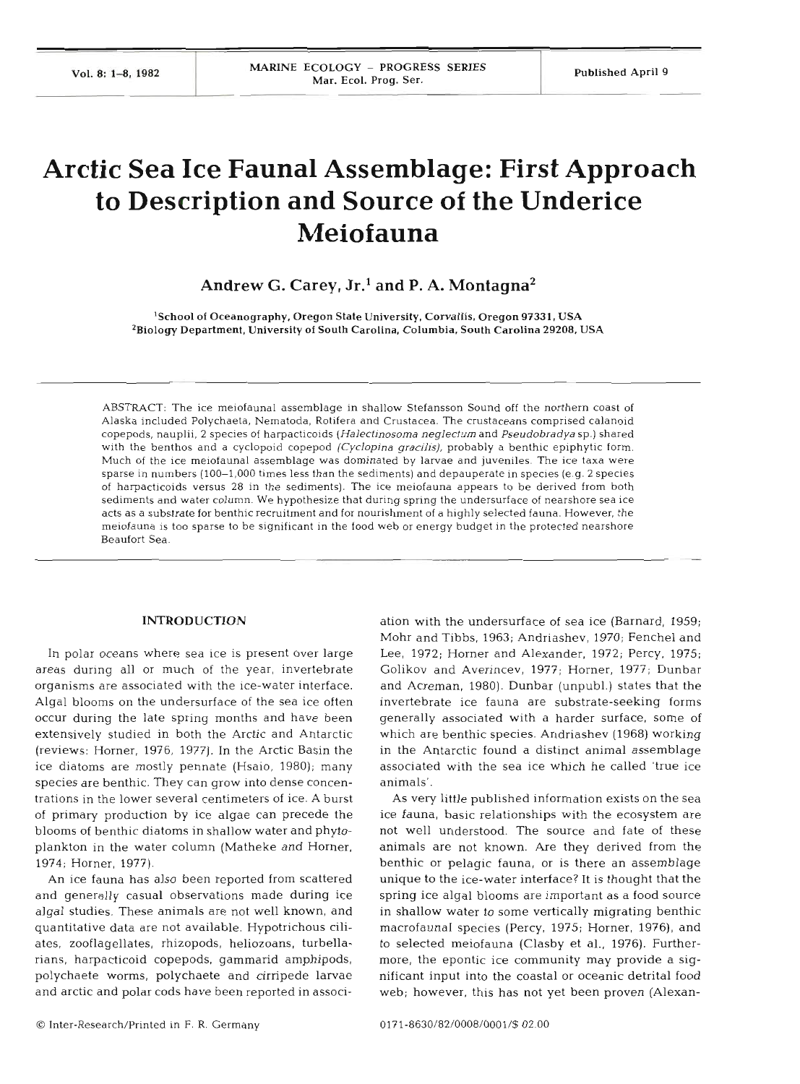# **Arctic Sea Ice Fauna1 Assemblage: First Approach to Description and Source of the Underice Meiofauna**

**Andrew G. Carey, Jr.' and P. A. Montagna2** 

'School of Oceanography, Oregon State University. Cowallis. Oregon 97331, USA <sup>2</sup>Biology Department, University of South Carolina, Columbia, South Carolina 29208, USA

ABSTRACT: The ice meiofaunal assemblage in shallow Stefansson Sound off the northern coast of Alaska included Polychaeta, Nematoda, Rotifera and Crustacea. The crustaceans comprised calanoid copepods, nauplii, **2** species of harpacticoids *(Halectinosoma neglecturn* and *Pseudobradya* sp.) shared with the benthos and a cyclopoid copepod *(Cyclopina gracilis)*, probably a benthic epiphytic form. Much of the ice meiofaunal assemblage was dominated by larvae and juveniles. The ice taxa were sparse in numbers (100-1,000 times less than the sediments) and depauperate in species (e.g. 2 species of harpacticoids versus 28 in the sediments). The ice meiofauna appears to be derived from both sediments and water column. We hypothesize that during spring the undersurface of nearshore sea ice acts as a substrate for benthic recruitment and for nourishment of a highly selected fauna. However, the meiofauna is too sparse to be significant in the food web or energy budget in the protected nearshore Beaufort Sea.

## **INTRODUCTION**

In polar oceans where sea ice is present over large areas during all or much of the year, invertebrate organisms are associated with the ice-water interface. Algal blooms on the undersurface of the sea ice often occur during the late spring months and have been extensively studied in both the Arctic and Antarctic (reviews: Horner, 1976, 1977). In the Arctic Basin the ice diatoms are mostly pennate (Hsaio, 1980); many species are benthic. They can grow into dense concentrations in the lower several centimeters of ice. A burst of primary production by ice algae can precede the blooms of benthic diatoms in shallow water and phytoplankton in the water column (Matheke and Horner, 1974; Horner, 1977).

An ice fauna has also been reported from scattered and generally casual observations made during ice algal studies. These animals are not well known, and quantitative data are not available. Hypotrichous ciliates, zooflagellates, rhizopods, heliozoans, turbellarians, harpacticoid copepods, gammarid amphipods, polychaete worms, polychaete and cirripede larvae and arctic and polar cods have been reported in associ-

ation with the undersurface of sea ice (Barnard, 1959; Mohr and Tibbs, 1963; Andriashev, 1970; Fenchel and Lee, 1972; Horner and Alexander, 1972; Percy, 1975; Golikov and Averincev, 1977; Horner, 1977; Dunbar and Acreman, 1980). Dunbar (unpubl.) states that the invertebrate ice fauna are substrate-seeking forms generally associated with a harder surface, some of which are benthic species. Andriashev (1968) working in the Antarctic found a distinct animal assemblage associated with the sea ice which he called 'true ice animals'.

As very little published information exists on the sea ice fauna, basic relationships with the ecosystem are not well understood. The source and fate of these animals are not known. Are they derived from the benthic or pelagic fauna, or is there an assemblage unique to the ice-water interface? It is thought that the spring ice algal blooms are important as a food source in shallow water to some vertically migrating benthic macrofaunal species (Percy, 1975; Horner, 1976), and to selected meiofauna (Clasby et al., 1976). Furthermore, the epontic ice community may provide a significant input into the coastal or oceanic detrital food web; however, this has not yet been proven (Alexan-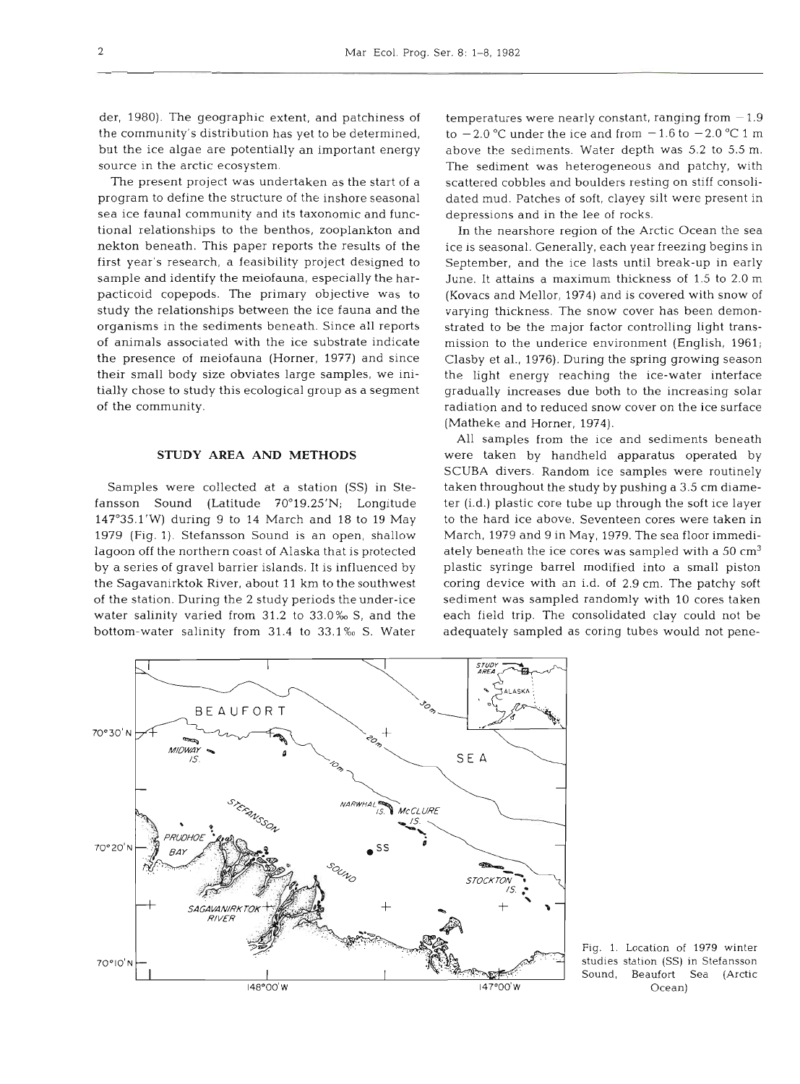der, 1980). The geographic extent, and patchiness of the community's distribution has yet to be determined, but the ice algae are potentially an important energy source in the arctic ecosystem.

The present project was undertaken as the start of a program to define the structure of the inshore seasonal sea ice faunal community and its taxonomic and functional relationships to the benthos, zooplankton and nekton beneath. This paper reports the results of the first year's research, a feasibility project designed to sample and identify the meiofauna, especially the harpacticoid copepods. The primary objective was to study the relationships between the ice fauna and the organisms in the sediments beneath. Since all reports of animals associated with the ice substrate indicate the presence of meiofauna (Horner, 1977) and since their small body size obviates large samples, we initially chose to study this ecological group as a segment of the community.

## **STUDY AREA AND METHODS**

Samples were collected at a station (SS) in Stefansson Sound (Latitude 70°19.25'N; Longitude 147°35.1'W) during 9 to 14 March and 18 to 19 May 1979 (Fig. 1). Stefansson Sound is an open, shallow lagoon off the northern coast of Alaska that is protected by a series of gravel barrier islands. It is influenced by the Sagavanirktok River, about 11 km to the southwest of the station. During the 2 study periods the under-ice water salinity varied from 31.2 to 33.0% **S,** and the bottom-water salinity from 31.4 to 33.1% S. Water

temperatures were nearly constant, ranging from  $-1.9$ to  $-2.0$  °C under the ice and from  $-1.6$  to  $-2.0$  °C 1 m above the sediments. Water depth was 5.2 to 5.5 m. The sediment was heterogeneous and patchy, with scattered cobbles and boulders resting on stiff consolidated mud. Patches of soft, clayey silt were present in depressions and in the lee of rocks.

In the nearshore region of the Arctic Ocean the sea ice is seasonal. Generally, each year freezing begins in September, and the ice lasts until break-up in early June. It attains a maximum thickness of 1.5 to 2.0 m (Kovacs and Mellor, 1974) and is covered with snow of varying thickness. The snow cover has been demonstrated to be the major factor controlling light transmission to the underice environment (English, 1961; Clasby et al., 1976). During the spring growing season the light energy reaching the ice-water interface gradually increases due both to the increasing solar radiation and to reduced snow cover on the ice surface (Matheke and Horner, 1974).

All samples from the ice and sediments beneath were taken by handheld apparatus operated by SCUBA divers. Random ice samples were routinely taken throughout the study by pushing a 3.5 cm diameter (i.d.) plastic core tube up through the soft ice layer to the hard ice above. Seventeen cores were taken in March, 1979 and 9 in May, 1979. The sea floor immediately beneath the ice cores was sampled with a  $50 \text{ cm}^3$ plastic syringe barrel modified into a small piston coring device with an i.d. of 2.9 cm. The patchy soft sediment was sampled randomly with 10 cores taken each field trip. The consolidated clay could not be adequately sampled as coring tubes would not pene-



Fig. 1. Location of 1979 winter studies station (SS) in Stefansson Sound, Beaufort Sea (Arctic Ocean)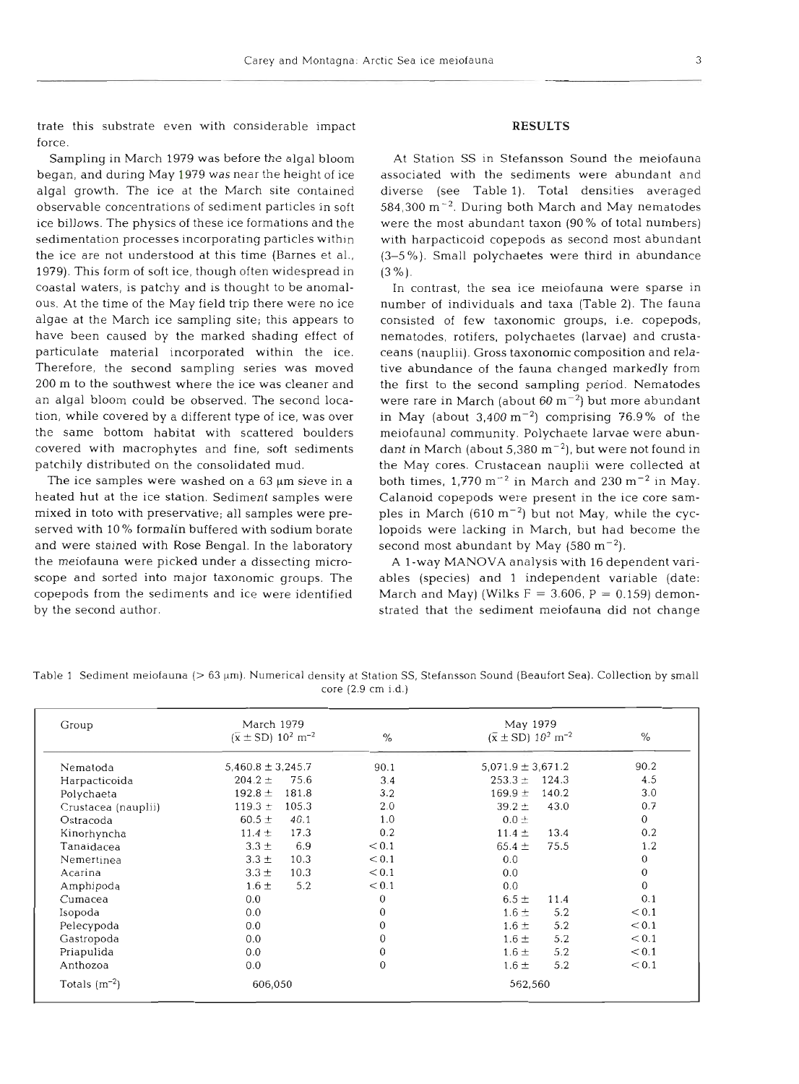3

trate this substrate even with considerable impact force.

Sampling in March 1979 was before the algal bloom began, and during May 1979 was near the height of ice algal growth. The ice at the March site contained observable concentrations of sediment particles in soft ice billows. The physics of these ice formations and the sedimentation processes incorporating particles within the ice are not understood at this time (Barnes et al., 1979). This form of soft ice, though often widespread in coastal waters, is patchy and is thought to be anomalous. At the time of the May field trip there were no ice algae at the March ice sampling site; this appears to have been caused by the marked shading effect of particulate material incorporated within the ice. Therefore, the second sampling series was moved  $200~\mathrm{m}$  to the southwest where the ice was cleaner a an algal bloom could be observed. The second location, while covered by a different type of ice, was over the same bottom habitat with scattered bould covered with macrophytes and fine, soft sediments patchily distributed on the consolidated mud.

The ice samples were washed on a  $63 \mu m$  sieve in a heated hut at the ice station. Sediment samples were mixed in toto with preservative; all samples were preserved with 10% formalin buffered with sodium bor and were stained with Rose Bengal. In the laboratory the meiofauna were picked under a dissecting microscope and sorted into major taxonomic groups. The copepods from the sediments and ice were identified by the second author.

## **RESUL**

At Station SS in Stefansson Sound the meiofau associated with the sediments were abundant  $\epsilon$ diverse (see Table l). Total densities averaged  $584,300$  m<sup> $-2$ </sup>. During both March and May nematodes were the most abundant taxon (90 % of total numbers) with harpacticoid copepods as second most abundant (3-5 %). Small polychaetes were third in abundance  $(3 \%).$ 

In contrast, the sea ice meiofauna were sparse in number of individuals and taxa (Table **2).** The fauna consisted of few taxonomic groups, i.e. copepods, nematodes, rotifers, polychaetes (larvae) and crustaceans (nauplii). Gross taxonomic composition and relative abundance of the fauna changed markedly from the first to the second sampling period. Nematodes were rare in March (about 60  $\mathrm{m}^{-2}$ ) but more abundant in May (about  $3,400 \text{ m}^{-2}$ ) comprising 76.9% of the meiofaunal community. Polychaete larvae were abundant in March (about  $5,380 \text{ m}^{-2}$ ), but were not found in the May cores. Crustacean nauplii were collected at both times,  $1,770 \text{ m}^{-2}$  in March and  $230 \text{ m}^{-2}$  in May. Calanoid copepods were present in the ice core samples in March  $(610 \text{ m}^{-2})$  but not May, while the cyclopoids were lacking in March, but had become the second most abundant by May  $(580 \text{ m}^{-2})$ .

A l-way MANOVA analysis with 16 dependent variables (species) and 1 independent variable (date: March and May) (Wilks  $F = 3.606$ ,  $P = 0.159$ ) demonstrated that the sediment meiofauna did not change

Table **1** Sediment meiofauna (> **63** pm). Numerical density at Station SS, Stefansson Sound (Beaufort Sea). Collection by small core **(2.9** cm i.d.)

| Group               | March 1979<br>$(\bar{x} \pm SD) 10^2 \text{ m}^{-2}$ | $\%$         | May 1979<br>$(\bar{x} \pm SD)$ 10 <sup>2</sup> m <sup>-2</sup> | $\%$           |
|---------------------|------------------------------------------------------|--------------|----------------------------------------------------------------|----------------|
| Nematoda            | $5,460.8 \pm 3,245.7$                                | 90.1         | $5.071.9 \pm 3.671.2$                                          | 90.2           |
| Harpacticoida       | $204.2 +$<br>75.6                                    | 3.4          | $253.3 \pm$<br>124.3                                           | 4.5            |
| Polychaeta          | $192.8 \pm$<br>181.8                                 | 3.2          | $169.9 \pm$<br>140.2                                           | 3.0            |
| Crustacea (nauplii) | 119.3 $\pm$<br>105.3                                 | 2.0          | $39.2 +$<br>43.0                                               | 0.7            |
| Ostracoda           | $60.5 \pm$<br>40.1                                   | 1.0          | $0.0 \pm$                                                      | $\theta$       |
| Kinorhyncha         | 17.3<br>$11.4 \pm$                                   | 0.2          | $11.4 \pm$<br>13.4                                             | 0.2            |
| Tanaidacea          | 6.9<br>$3.3 \pm$                                     | < 0.1        | 75.5<br>65.4 $\pm$                                             | 1.2            |
| Nemertinea          | $3.3 \pm$<br>10.3                                    | < 0.1        | 0.0                                                            | $\overline{0}$ |
| Acarina             | $3.3 \pm$<br>10.3                                    | < 0.1        | 0.0                                                            | $\mathbf{0}$   |
| Amphipoda           | 5.2<br>$1.6 \pm$                                     | < 0.1        | 0.0                                                            | 0              |
| Cumacea             | 0.0                                                  | $\mathbf{0}$ | $6.5 \pm$<br>11.4                                              | 0.1            |
| Isopoda             | 0.0                                                  | $\mathbf{0}$ | $1.6 \pm$<br>5.2                                               | < 0.1          |
| Pelecypoda          | 0.0                                                  | 0            | $1.6 \pm$<br>5.2                                               | < 0.1          |
| Gastropoda          | 0.0                                                  | 0            | $1.6 \pm$<br>5.2                                               | < 0.1          |
| Priapulida          | 0.0                                                  | $\Omega$     | 5.2<br>$1.6 \pm$                                               | < 0.1          |
| Anthozoa            | 0.0                                                  | $\theta$     | $1.6 \pm$<br>5.2                                               | < 0.1          |
| Totals $(m^{-2})$   | 606,050                                              |              | 562,560                                                        |                |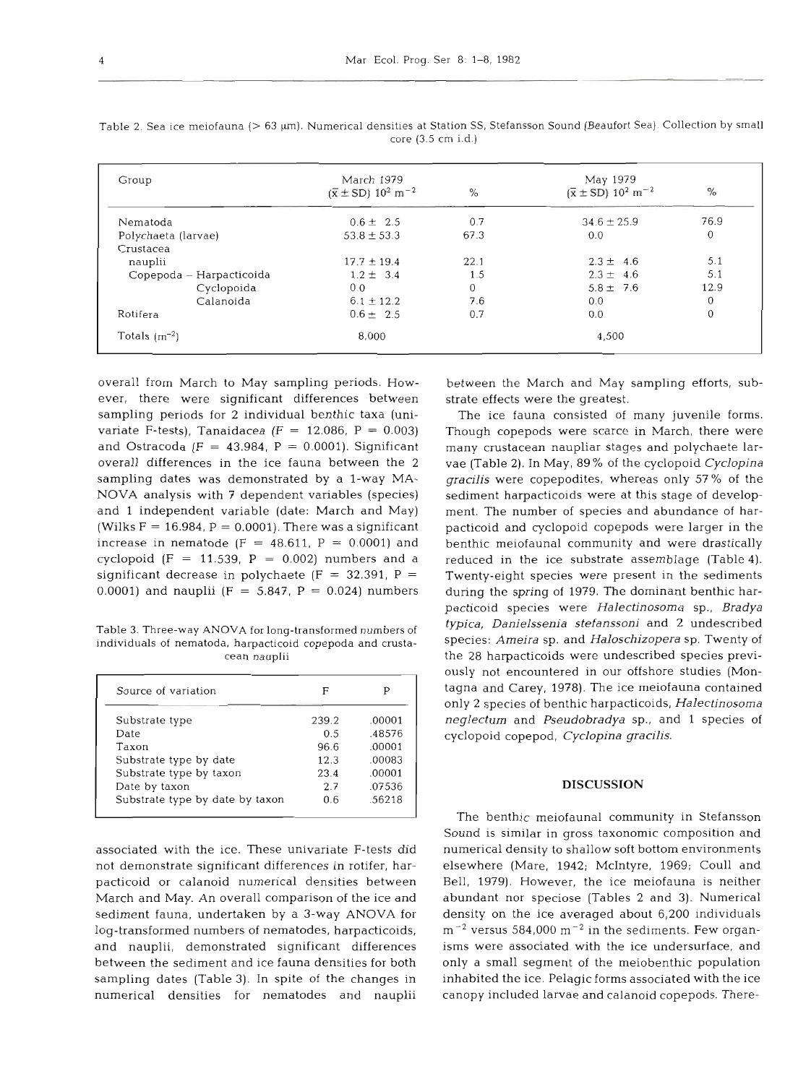| Group                    | March 1979<br>$(\bar{x} \pm SD)$ 10 <sup>2</sup> m <sup>-2</sup><br>$\%$ |      | May 1979<br>$(\bar{x} \pm SD)$ 10 <sup>2</sup> m <sup>-2</sup><br>$\%$ |                |
|--------------------------|--------------------------------------------------------------------------|------|------------------------------------------------------------------------|----------------|
| Nematoda                 | $0.6 \pm 2.5$                                                            | 0.7  | $34.6 \pm 25.9$                                                        | 76.9           |
| Polychaeta (larvae)      | $53.8 \pm 53.3$                                                          | 67.3 | 0.0                                                                    | $\overline{0}$ |
| Crustacea                |                                                                          |      |                                                                        |                |
| nauplii                  | $17.7 \pm 19.4$                                                          | 22.1 | $2.3 \pm 4.6$                                                          | 5.1            |
| Copepoda – Harpacticoida | $1.2 \pm 3.4$                                                            | 1.5  | $2.3 \pm 4.6$                                                          | 5.1            |
| Cyclopoida               | 0.0                                                                      | 0    | $5.8 \pm 7.6$                                                          | 12.9           |
| Calanoida                | $6.1 \pm 12.2$                                                           | 7.6  | 0.0                                                                    |                |
| Rotifera                 | $0.6 \pm 2.5$                                                            | 0.7  | 0.0                                                                    |                |
| Totals $(m^{-2})$        | 8.000                                                                    |      | 4.500                                                                  |                |

Table 2. Sea ice meiofauna (> 63 µm). Numerical densities at Station SS, Stefansson Sound (Beaufort Sea). Collection by small core (3.5 cm i.d.)

overall from March to May sampling periods. However, there were significant differences between sampling periods for 2 individual benthic taxa (univariate F-tests), Tanaidacea (F = 12.086, P = 0.003) and Ostracoda (F = 43.984, P = 0.0001). Significant overall differences in the ice fauna between the 2 sampling dates was demonstrated by a l-way MA-NOVA analysis with ? dependent variables (species) and 1 independent variable (date: March and May) (Wilks  $F = 16.984$ ,  $P = 0.0001$ ). There was a significant increase in nematode ( $F = 48.611$ ,  $P = 0.0001$ ) and cyclopoid (F = 11.539, P = 0.002) numbers and a significant decrease in polychaete (F = 32.391, P = 0.0001) and nauplii (F = 5.847, P = 0.024) numbers

Table 3. Three-way **ANOVA** for long-transformed numbers of individuals of nematoda, harpacticoid copepoda and crustacean nauplii

| Source of variation             | F     |        |
|---------------------------------|-------|--------|
| Substrate type                  | 239.2 | .00001 |
| Date                            | 0.5   | .48576 |
| Taxon                           | 96.6  | .00001 |
| Substrate type by date          | 12.3  | .00083 |
| Substrate type by taxon         | 23.4  | .00001 |
| Date by taxon                   | 2.7   | .07536 |
| Substrate type by date by taxon | 06    | .56218 |

associated with the ice. These univariate F-tests did not demonstrate significant differences in rotifer, harpacticoid or calanoid numerical densities between March and May. An overall comparison of the ice and sediment fauna, undertaken by a 3-way ANOVA for log-transformed numbers of nematodes, harpacticoids, and nauplii, demonstrated significant differences between the sediment and ice fauna densities for both sampling dates (Table **3).** In spite of the changes in numerical densities for nematodes and nauplii

between the March and May sampling efforts, substrate effects were the greatest.

The ice fauna consisted of many juvenile forms. Though copepods were scarce in March, there were many crustacean naupliar stages and polychaete larvae (Table 2). In May, 89 % of the cyclopoid *Cyclopina gracilis* were copepodites, whereas only 57 % of the sediment harpacticoids were at this stage of development. The number of species and abundance of harpacticoid and cyclopoid copepods were larger in the benthic meiofaunal community and were drastically reduced in the ice substrate assemblage (Table 4). Twenty-eight species were present in the sediments during the spring of 1979. The dominant benthic harpacticoid species were *Halectinosoma* sp., *Bradya typica, Danielssenia stefanssoni* and *2* undescribed species: *Ameira* sp, and *Haloschizopera* sp. Twenty of the 28 harpacticoids were undescribed species previously not encountered in our offshore studies (Montagna and Carey, 1978). The ice meiofauna contained only 2 species of benthic harpacticoids, *Halectinosoma neglecturn* and *Pseudobradya* sp., and 1 species of cyclopoid copepod, *Cyclopina gracilis.* 

# **DISCUSSION**

The benthic meiofaunal community in Stefansson Sound is similar in gross taxonomic composition and numerical density to shallow soft bottom environments elsewhere (Mare, 1942; McIntyre, 1969; Coull and Bell, 1979). However, the ice meiofauna is neither abundant nor speciose (Tables **2** and 3). Numerical density on the ice averaged about 6,200 individuals  $m^{-2}$  versus 584,000 m<sup>-2</sup> in the sediments. Few organisms were associated with the ice undersurface, and only a small segment of the meiobenthic population inhabited the ice. Pelagic forms associated with the ice canopy included larvae and calanoid copepods. There-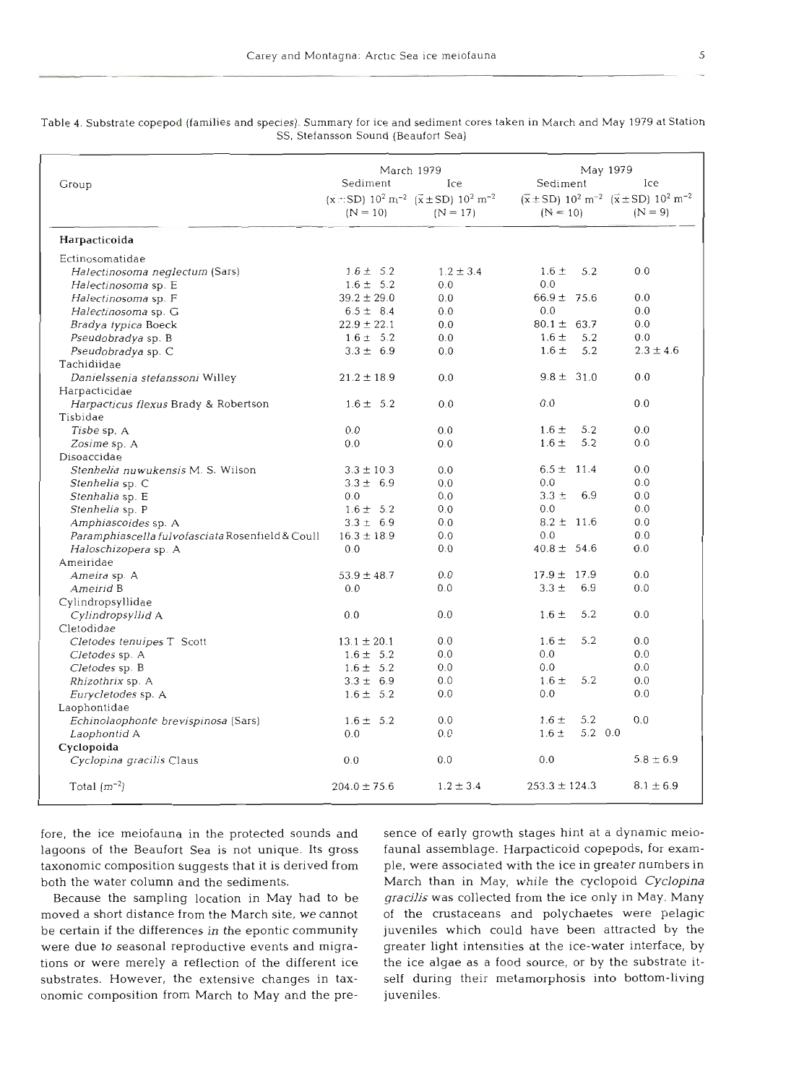|                                                  | March 1979                                                                                       | May 1979      |                      |                                                                                                       |  |
|--------------------------------------------------|--------------------------------------------------------------------------------------------------|---------------|----------------------|-------------------------------------------------------------------------------------------------------|--|
| Group                                            | Sediment<br>Ice                                                                                  |               | Sediment             | Ice                                                                                                   |  |
|                                                  | $(x::SD)$ 10 <sup>2</sup> m <sup>-2</sup> ( $\overline{x}$ ± SD) 10 <sup>2</sup> m <sup>-2</sup> |               |                      | $(\bar{x} \pm SD)$ 10 <sup>2</sup> m <sup>-2</sup> $(\bar{x} \pm SD)$ 10 <sup>2</sup> m <sup>-2</sup> |  |
|                                                  | $(N = 10)$                                                                                       | $(N = 17)$    | $(N = 10)$           | $(N = 9)$                                                                                             |  |
| Harpacticoida                                    |                                                                                                  |               |                      |                                                                                                       |  |
| Ectinosomatidae                                  |                                                                                                  |               |                      |                                                                                                       |  |
| Halectinosoma neglectum (Sars)                   | $1.6 \pm 5.2$                                                                                    | $1.2 \pm 3.4$ | 5.2<br>$1.6 \pm$     | 0.0                                                                                                   |  |
| Halectinosoma sp. E                              | $1.6 \pm 5.2$                                                                                    | 0.0           | 0.0                  |                                                                                                       |  |
| Halectinosoma sp. F                              | $39.2 \pm 29.0$                                                                                  | 0.0           | $66.9 \pm 75.6$      | 0.0                                                                                                   |  |
| Halectinosoma sp. G                              | $6.5 \pm 8.4$                                                                                    | 0.0           | 0.0                  | 0.0                                                                                                   |  |
| Bradya typica Boeck                              | $22.9 \pm 22.1$                                                                                  | 0.0           | $80.1 \pm 63.7$      | 0.0                                                                                                   |  |
| Pseudobradya sp. B                               | $1.6 \pm 5.2$                                                                                    | 0.0           | $1.6 \pm$<br>5.2     | 0.0                                                                                                   |  |
| Pseudobradya sp. C                               | $3.3 \pm 6.9$                                                                                    | 0.0           | 5.2<br>$1.6 \pm$     | $2.3 \pm 4.6$                                                                                         |  |
| Tachidiidae                                      |                                                                                                  |               |                      |                                                                                                       |  |
| Danielssenia stefanssoni Willey                  | $21.2 \pm 18.9$                                                                                  | 0.0           | $9.8 \pm 31.0$       | 0.0                                                                                                   |  |
| Harpacticidae                                    |                                                                                                  |               |                      |                                                                                                       |  |
| Harpacticus flexus Brady & Robertson             | $1.6 \pm 5.2$                                                                                    | 0.0           | 0.0                  | 0.0                                                                                                   |  |
| Tisbidae                                         |                                                                                                  |               |                      |                                                                                                       |  |
| Tisbe sp. A                                      | 0.0                                                                                              | 0.0           | $1.6 \pm$<br>5.2     | 0.0                                                                                                   |  |
| Zosime sp. A                                     | 0.0                                                                                              | 0.0           | 5.2<br>$1.6 \pm$     | 0.0                                                                                                   |  |
| Disoaccidae                                      |                                                                                                  |               |                      |                                                                                                       |  |
| <i>Stenhelia nuwukensis</i> M. S. Wilson         | $3.3 \pm 10.3$                                                                                   | 0.0           | $6.5 \pm 11.4$       | 0.0                                                                                                   |  |
| Stenhelia sp. C                                  | $3.3 \pm 6.9$                                                                                    | 0.0           | 0.0                  | 0.0                                                                                                   |  |
| Stenhalia sp. E                                  | 0.0                                                                                              | 0.0           | $3.3 \pm$<br>6.9     | 0.0                                                                                                   |  |
| Stenhelia sp. P                                  | $1.6 \pm 5.2$                                                                                    | 0.0           | 0.0                  | 0.0                                                                                                   |  |
| Amphiascoides sp. A                              | $3.3 \pm 6.9$                                                                                    | 0.0           | $8.2 \pm 11.6$       | 0.0                                                                                                   |  |
| Paramphiascella fulvofasciata Rosenfield & Coull | $16.3 \pm 18.9$                                                                                  | 0.0           | 0.0                  | 0.0                                                                                                   |  |
| Haloschizopera sp. A                             | 0.0                                                                                              | 0.0           | $40.8 \pm 54.6$      | 0.0                                                                                                   |  |
| Ameiridae                                        |                                                                                                  |               |                      |                                                                                                       |  |
| Ameira sp. A                                     | $53.9 \pm 48.7$                                                                                  | 0.0           | $17.9 \pm 17.9$      | 0.0                                                                                                   |  |
| Ameirid B                                        | 0.0                                                                                              | 0.0           | $3.3 \pm$<br>6.9     | 0.0                                                                                                   |  |
| Cylindropsyllidae                                |                                                                                                  |               |                      |                                                                                                       |  |
| Cylindropsyllid A                                | 0.0                                                                                              | 0.0           | 5.2<br>$1.6 \pm$     | 0.0                                                                                                   |  |
| Cletodidae                                       |                                                                                                  |               |                      |                                                                                                       |  |
| Cletodes tenuipes T Scott                        | $13.1 \pm 20.1$                                                                                  | 0.0           | 5.2<br>$1.6 \pm$     | 0.0                                                                                                   |  |
| Cletodes sp. A                                   | $1.6 \pm 5.2$                                                                                    | 0.0           | 0.0                  | 0.0                                                                                                   |  |
| Cletodes sp. B                                   | $1.6 \pm 5.2$                                                                                    | 0.0           | 0.0                  | 0.0                                                                                                   |  |
| Rhizothrix sp. A                                 | $3.3 \pm 6.9$                                                                                    | 0.0           | 5.2<br>$1.6 \pm$     | 0.0                                                                                                   |  |
| Eurycletodes sp. A                               | $1.6 \pm 5.2$                                                                                    | 0.0           | 0.0                  | 0.0                                                                                                   |  |
| Laophontidae                                     |                                                                                                  |               |                      |                                                                                                       |  |
| Echinolaophonte brevispinosa (Sars)              | $1.6 \pm 5.2$                                                                                    | 0.0           | 5.2<br>$1.6 \pm$     | 0.0                                                                                                   |  |
| Laophontid A                                     | 0.0                                                                                              | 0.0           | 5.2 0.0<br>$1.6 \pm$ |                                                                                                       |  |
| Cyclopoida                                       |                                                                                                  |               |                      |                                                                                                       |  |
| Cyclopina gracilis Claus                         | 0.0                                                                                              | 0.0           | 0.0                  | $5.8 \pm 6.9$                                                                                         |  |
| Total $(m^{-2})$                                 | $204.0 \pm 75.6$                                                                                 | $1.2 \pm 3.4$ | $253.3 \pm 124.3$    | $8.1 \pm 6.9$                                                                                         |  |
|                                                  |                                                                                                  |               |                      |                                                                                                       |  |

Table 4. Substrate copepod (families and species). Summary for ice and sediment cores taken in March and May 1979 at Station SS. Stefansson Sound (Beaufort Sea)

fore, the ice meiofauna in the protected sounds and lagoons of the Beaufort Sea is not unique. Its gross taxonomic composition suggests that it is derived from both the water column and the sedimer

Because the sampling location in May had to be moved a short distance from the March site, we cannot be certain if the differences in the epontic community were due to seasonal reproductive events and migrations or were merely a reflection of the different ice substrates. However, the extensive changes in taxonomic composition from March to May and the pre-

sence of early growth stages hint at a dynamic metallity from faunal assemblage. Harpacticoid copepods, for example, were associated with the ice in greater numbers March than in May, while the cyclopoid *Cyclopi* gracilis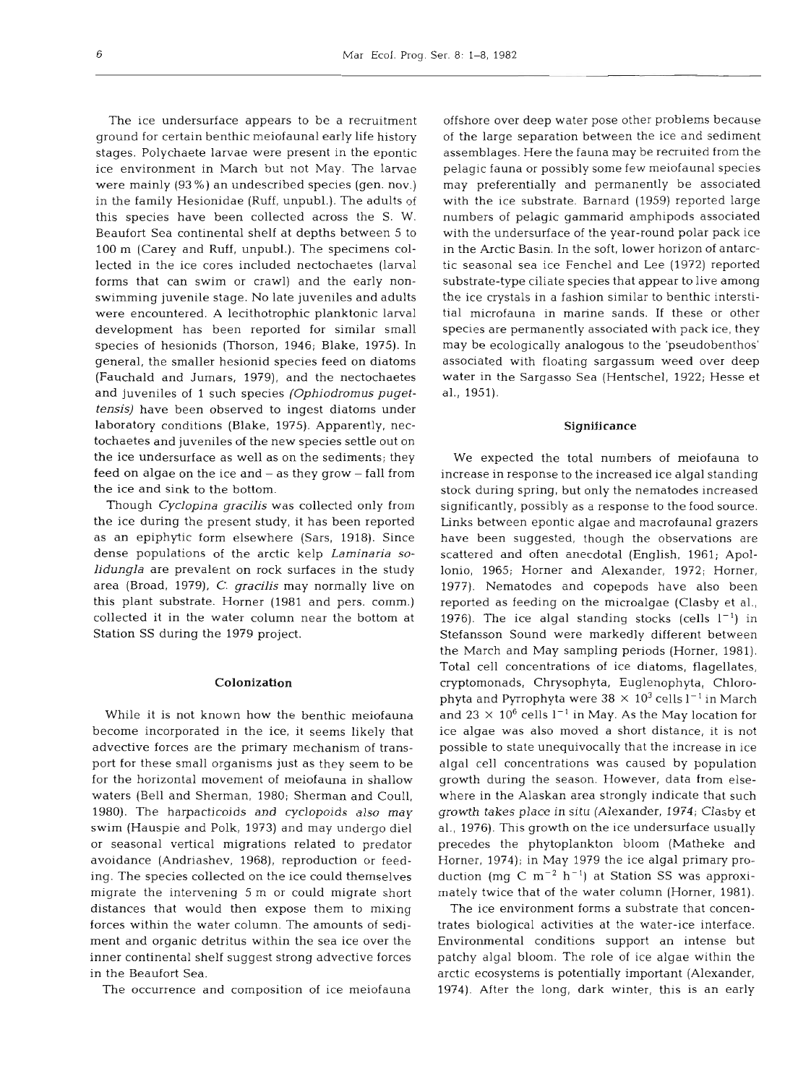The ice undersurface appears to be a recruitment ground for certain benthic meiofaunal early life history stages. Polychaete larvae were present in the epontic ice environment in March but not May. The larvae were mainly (93 %) an undescribed species (gen. nov.) in the family Hesionidae (Ruff, unpubl.). The adults of this species have been collected across the S. W. Beaufort Sea continental shelf at depths between 5 to 100 m (Carey and Ruff, unpubl.). The specimens collected in the ice cores included nectochaetes (larval forms that can swim or crawl) and the early nonswimming juvenile stage. No late juveniles and adults were encountered. A lecithotrophic planktonic larval development has been reported for similar small species of hesionids (Thorson, 1946; Blake, 1975). In general, the smaller hesionid species feed on diatoms (Fauchald and Jumars, 1979), and the nectochaetes and juveniles of 1 such species *(Ophiodromus pugettensis)* have been observed to ingest diatoms under laboratory conditions (Blake, 1975). Apparently, nectochaetes and juveniles of the new species settle out on the ice undersurface as well as on the sediments; they feed on algae on the ice and - as they grow - fall from the ice and sink to the bottom.

Though *Cyclopina gracilis* was collected only from the ice during the present study, it has been reported as an epiphytic form elsewhere (Sars, 1918). Since dense populations of the arctic kelp *Laminaria solidungla* are prevalent on rock surfaces in the study area (Broad, 1979). C. *gracilis* may normally live on this plant substrate. Homer (1981 and pers. comm.) collected it in the water column near the bottom at Station SS during the 1979 project.

# Colonization

While it is not known how the benthic meiofauna become incorporated in the ice, it seems likely that advective forces are the primary mechanism of transport for these small organisms just as they seem to be for the horizontal movement of meiofauna in shallow waters (Bell and Sherman, 1980; Sherman and Coull, 1980). The harpacticoids and cyclopoids also may swim (Hauspie and Polk, 1973) and may undergo die1 or seasonal vertical migrations related to predator avoidance (Andriashev, 1968), reproduction or feeding. The species collected on the ice could themselves migrate the intervening 5 m or could migrate short distances that would then expose them to mixing forces within the water column. The amounts of sediment and organic detritus within the sea ice over the inner continental shelf suggest strong advective forces in the Beaufort Sea.

The occurrence and composition of ice meiofauna

offshore over deep water pose other problems because of the large separation between the ice and sediment assemblages. Here the fauna may be recruited from the pelagic fauna or possibly some few meiofaunal species may preferentially and permanently be associated with the ice substrate. Barnard (1959) reported large numbers of pelagic gammarid amphipods associated with the undersurface of the year-round polar pack ice in the Arctic Basin. In the soft, lower horizon of antarctic seasonal sea ice Fenchel and Lee (1972) reported substrate-type ciliate species that appear to live among the ice crystals in a fashion similar to benthic interstitial microfauna in marine sands. If these or other species are permanently associated with pack ice, they may be ecologically analogous to the 'pseudobenthos' associated with floating sargassum weed over deep water in the Sargasso Sea (Hentschel, 1922; Hesse et al., 1951).

## **Significance**

We expected the total numbers of meiofauna to increase in response to the increased ice algal standing stock during spring, but only the nematodes increased significantly, possibly as a response to the food source. Lnks between epontic algae and macrofaunal grazers have been suggested, though the observations are scattered and often anecdotal (English, 1961; Apollonio, 1965; Horner and Alexander, 1972; Horner, 1977). Nematodes and copepods have also been reported as feeding on the microalgae (Clasby et al., 1976). The ice algal standing stocks (cells  $1^{-1}$ ) in Stefansson Sound were markedly different between the March and May sampling periods (Horner, 1981). Total cell concentrations of ice diatoms, flagellates, cryptomonads, Chrysophyta, Euglenophyta, Chlorophyta and Pyrrophyta were 38  $\times$  10<sup>3</sup> cells l<sup>-1</sup> in March and  $23 \times 10^6$  cells  $1^{-1}$  in May. As the May location for ice algae was also moved a short distance, it is not possible to state unequivocally that the increase in ice algal cell concentrations was caused by population growth during the season. However, data from elsewhere in the Alaskan area strongly indicate that such growth takes place in situ (Alexander, 1974; Clasby et al., 1976). This growth on the ice undersurface usually precedes the phytoplankton bloom (Matheke and Horner, 1974); in May 1979 the ice algal primary production (mg C  $m^{-2}$  h<sup>-1</sup>) at Station SS was approximately twice that of the water column (Horner, 1981).

The ice environment forms a substrate that concentrates biological activities at the water-ice interface. Environmental conditions support an intense but patchy algal bloom. The role of ice algae within the arctic ecosystems is potentially important (Alexander, 1974). After the long, dark winter, this is an early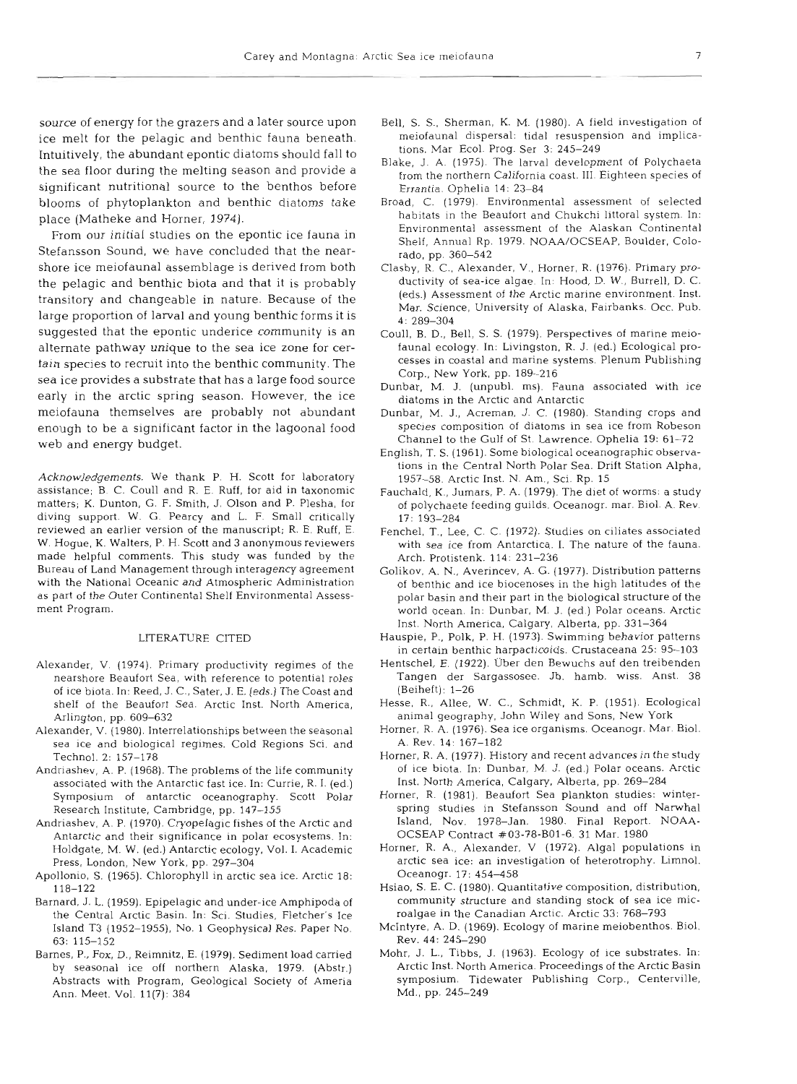source of energy for the grazers and a later source upon ice melt for the pelagic and benthic fauna beneath. Intuitively, the abundant epontic diatoms should fall to the sea floor during the melting season and provide a significant nutritional source to the benthos before blooms of phytoplankton and benthic diatoms take place (Matheke and Horner, 1974).

From our initial studies on the epontic ice fauna in Stefansson Sound, we have concluded that the nearshore ice meiofaunal assemblage is derived from both the pelagic and benthic biota and that it is probably transitory and changeable in nature. Because of the large proportion of larval and young benthic forms it is suggested that the epontic underice community is an alternate pathway unique to the sea ice zone for certain species to recruit into the benthic community. The sea ice provides a substrate that has a large food source early in the arctic spring season. However, the ice meiofauna themselves are probably not abundant enough to be a significant factor in the lagoonal food web and energy budget.

Acknowledgements. We thank P. H. Scott for laboratory assistance; B. C. Coull and R. E. Ruff, for aid in taxonomic matters; K. Dunton, G. F. Smith, J. Olson and P. Plesha, for diving support. W. G. Pearcy and L. F. Small critically reviewed an earlier version of the manuscript; R. E. Ruff, E. W. Hogue, K. Walters, P. H. Scott and 3 anonymous reviewers made helpful comments. This study was funded by the Bureau of Land Management through interagency agreement with the National Oceanic and Atmospheric Administration as part of the Outer Continental Shelf Environmental Assessment Program.

#### LITERATURE CITED

- Alexander, V. (1974). Primary productivity regimes of the nearshore Beaufort Sea, with reference to potential roles of ice biota. In: Reed, J. C., Sater. J. E. (eds.) The Coast and shelf of the Beaufort Sea. Arctic Inst. North America, Arlington, pp. 609-632
- Alexander. V. (1980). Interrelationships between the seasonal sea ice and biological regimes. Cold Regions Sci. and Technol. 2: 157-178
- Andriashev, A. P. (1968). The problems of the life community associated with the Antarctic fast ice. In: Currie, R. I. (ed.) Symposium of antarctic oceanography. Scott Polar Research Institute, Cambridge. pp. 147-155
- Andriashev, A. P. (1970). Cryopelagic fishes of the Arctic and Antarctic and their significance in polar ecosystems. In: Holdgate, M. W. (ed.) Antarctic ecology. Vol. I. Academic Press, London, New York, pp. 297-304
- Apollonio, S. (1965). Chlorophyll in arctic sea ice. Arctic 18: 118-122
- Barnard, J. L. (1959). Epipelagic and under-ice Amphipoda of the Central Arctic Basin. In: Sci. Studies, Fletcher's Ice Island T3 (1952-1955), No. 1 Geophysical Res. Paper No. 63: 115-152
- Barnes, P., Fox, D., Reimnitz, E. (1979). Sediment load carried by seasonal ice off northern Alaska, 1979. (Abstr.) Abstracts with Program, Geological Society of Ameria Ann. Meet. Vol. 11(7): 384
- Bell, S. S., Sherman, K. M. (1980). A field investigation of meiofaunal dispersal: tidal resuspension and implications. Mar Ecol. Prog. Ser 3: 245-249
- Blake, J. A. (1975). The larval development of Polychaeta from the northern California coast. III. Eighteen species of Errantia. Ophelia 14: 23-84
- Broad, C. (1979). Environmental assessment of selected habitats in the Beaufort and Chukchi littoral system. In: Environmental assessment of the Alaskan Continental Shelf, Annual Rp. 1979. NOAA/OCSEAP, Boulder, Colorado. pp. 360-542
- Clasby. R. C., Alexander, V., Horner, R. (1976). Primary productivity of sea-ice algae In: Hood, D. W., Burrell, D. C. (eds.) Assessment of the Arctic marine environment. Inst. Mar. Science, University of Alaska, Fairbanks. Occ. Pub. 4: 289-304
- Coull, B. D., Bell, S. S. (1979). Perspectives of marine meiofauna1 ecology In: Livingston, R. J. (ed.) Ecological processes in coastal and marine systems. Plenum Publishing Corp.. New York, pp. 189-216
- Dunbar, M. J. (unpubl. ms). Fauna associated with ice diatoms in the Arctic and Antarctic
- Dunbar, M. J., Acreman, J. C. (1980). Standing crops and species composition of diatoms in sea ice from Robeson Channel to the Gulf of St. Lawrence. Ophelia 19: 61-72
- English, T. S. (1961). Some biological oceanographic observations in the Central North Polar Sea. Drift Station Alpha. 1957-58. Arctic Inst. N. Am.. Sci. Rp. 15
- Fauchald, K., Jumars, P. A. (1979). The diet of worms: a study of polychaete feeding guilds. Oceanogr. mar. Biol. A. Rev 17: 193-284
- Fenchel. T., Lee, *C.* C. (1972). Studies on ciliates associated with sea ice from Antarctica. I. The nature of the fauna. Arch. Protistenk. 114: 231-236
- Golikov. A. N., Averincev, A. G. (1977). Distribution patterns of benthic and ice biocenoses in the high latitudes of the polar basin and their part in the biological structure of the world ocean. In: Dunbar, M. J. (ed.) Polar oceans. Arctic Inst. North Amerlca, Calgary, Alberta, pp. 331-364
- Hauspie. P., Polk, P. H. (1973). Swimming behavior patterns in certain benthic harpacticoids. Crustaceana 25: 95-103
- Hentschel, E. (1922). Uber den Bewuchs auf den treibenden Tangen der Sargassosee. Jb. hamb. wiss. Anst. 38 (Beiheft): 1-26
- Hesse, R., Allee, W. C., Schmidt, K. P. (1951). Ecological animal geography, John Wiley and Sons, New York
- Horner, R. A. (1976). Sea ice organisms. Oceanogr. Mar. Biol. A. Rev. 14: 167-182
- Horner, R. A. (1977). History and recent advances in the study of ice biota. In: Dunbar, M. J. (ed.) Polar oceans. Arctic Inst. North America, Calgary, Alberta, pp. 269-284
- Horner, R. (1981). Beaufort Sea plankton studies: winterspring studies in Stefansson Sound and off Narwhal Island, Nov. 1978-Jan. 1980. Final Report. NOAA-OCSEAP Contract #03-78-B01-6. 31 Mar. 1980
- Horner, R. A., Alexander, V (1972). Algal populations in arctic sea ice: an investigation of heterotrophy. Limnol. Oceanogr. 17: 454-458
- Hsiao, S. E. C. (1980). Quantitative composition, distribution, community structure and standing stock of sea ice microalgae in the Canadian Arctic. Arctic 33: 768-793
- Mclntyre, A. D. (1969). Ecology of marine meiobenthos. Biol. Rev. 44: 245-290
- Mohr, J. L., Tibbs. J. (1963). Ecology of ice substrates. In: Arctic Inst. North America. Proceedings of the Arctic Basin symposium. Tidewater Publishing Corp., Centerville, Md., pp. 245-249